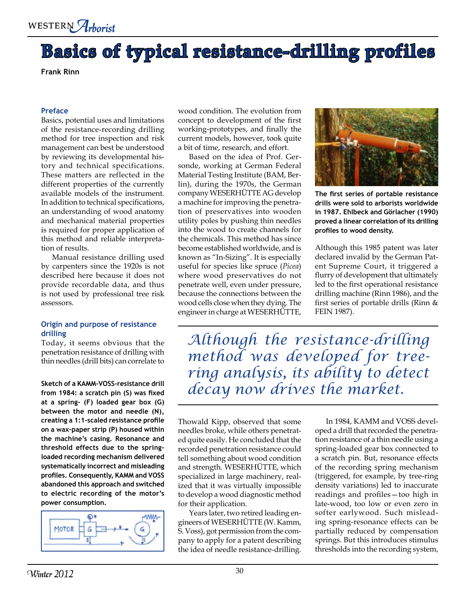

# **Basics of typical resistance-drilling profiles**

**Frank Rinn**

#### **Preface**

Basics, potential uses and limitations of the resistance-recording drilling method for tree inspection and risk management can best be understood by reviewing its developmental history and technical specifications. These matters are reflected in the different properties of the currently available models of the instrument. In addition to technical specifications, an understanding of wood anatomy and mechanical material properties is required for proper application of this method and reliable interpretation of results.

Manual resistance drilling used by carpenters since the 1920s is not described here because it does not provide recordable data, and thus is not used by professional tree risk assessors.

### **Origin and purpose of resistance drilling**

Today, it seems obvious that the penetration resistance of drilling with thin needles (drill bits) can correlate to

**from 1984: a scratch pin (S) was fixed at a spring- (F) loaded gear box (G) between the motor and needle (N), creating a 1:1-scaled resistance profile on a wax-paper strip (P) housed within the machine's casing. Resonance and threshold effects due to the springloaded recording mechanism delivered systematically incorrect and misleading profiles. Consequently, KAMM and VOSS abandoned this approach and switched to electric recording of the motor's power consumption.**



wood condition. The evolution from concept to development of the first working-prototypes, and finally the current models, however, took quite a bit of time, research, and effort.

Based on the idea of Prof. Gersonde, working at German Federal Material Testing Institute (BAM, Berlin), during the 1970s, the German company WESERHÜTTE AG develop a machine for improving the penetration of preservatives into wooden utility poles by pushing thin needles into the wood to create channels for the chemicals. This method has since become established worldwide, and is known as "In-Sizing". It is especially useful for species like spruce (*Picea*) where wood preservatives do not penetrate well, even under pressure, because the connections between the wood cells close when they dying. The engineer in charge at WESERHÜTTE,



**The first series of portable resistance drills were sold to arborists worldwide in 1987. Ehlbeck and Görlacher (1990) proved a linear correlation of its drilling profiles to wood density.** 

Although this 1985 patent was later declared invalid by the German Patent Supreme Court, it triggered a flurry of development that ultimately led to the first operational resistance drilling machine (Rinn 1986), and the first series of portable drills (Rinn & FEIN 1987).

*Although the resistance-drilling method was developed for treering analysis, its ability to detect*  Sketch of a KAMM-VOSS-resistance drill *decay now drives the market*.

> Thowald Kipp, observed that some needles broke, while others penetrated quite easily. He concluded that the recorded penetration resistance could tell something about wood condition and strength. WESERHÜTTE, which specialized in large machinery, realized that it was virtually impossible to develop a wood diagnostic method for their application.

Years later, two retired leading engineers of WESERHÜTTE (W. Kamm, S. Voss), got permission from the company to apply for a patent describing the idea of needle resistance-drilling.

In 1984, KAMM and VOSS developed a drill that recorded the penetration resistance of a thin needle using a spring-loaded gear box connected to a scratch pin. But, resonance effects of the recording spring mechanism (triggered, for example, by tree-ring density variations) led to inaccurate readings and profiles—too high in late-wood, too low or even zero in softer earlywood. Such misleading spring-resonance effects can be partially reduced by compensation springs. But this introduces stimulus thresholds into the recording system,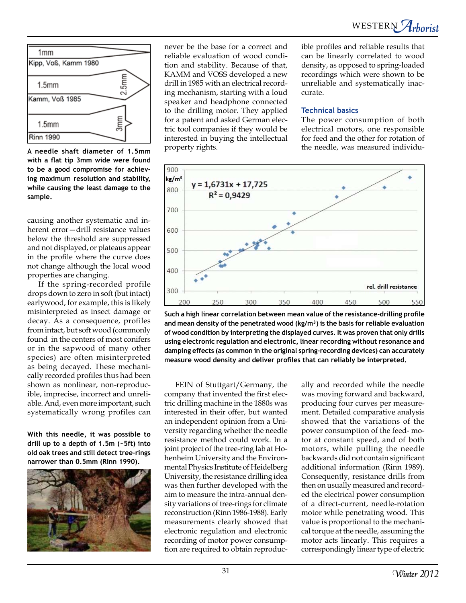

**A needle shaft diameter of 1.5mm with a flat tip 3mm wide were found to be a good compromise for achieving maximum resolution and stability, while causing the least damage to the sample.** 

causing another systematic and inherent error—drill resistance values below the threshold are suppressed and not displayed, or plateaus appear in the profile where the curve does not change although the local wood properties are changing.

If the spring-recorded profile drops down to zero in soft (but intact) earlywood, for example, this is likely misinterpreted as insect damage or decay. As a consequence, profiles from intact, but soft wood (commonly found in the centers of most conifers or in the sapwood of many other species) are often misinterpreted as being decayed. These mechanically recorded profiles thus had been shown as nonlinear, non-reproducible, imprecise, incorrect and unreliable. And, even more important, such systematically wrong profiles can

**With this needle, it was possible to drill up to a depth of 1.5m (~5ft) into old oak trees and still detect tree-rings narrower than 0.5mm (Rinn 1990).** 



never be the base for a correct and reliable evaluation of wood condition and stability. Because of that, KAMM and VOSS developed a new drill in 1985 with an electrical recording mechanism, starting with a loud speaker and headphone connected to the drilling motor. They applied for a patent and asked German electric tool companies if they would be interested in buying the intellectual property rights.

ible profiles and reliable results that can be linearly correlated to wood density, as opposed to spring-loaded recordings which were shown to be unreliable and systematically inaccurate.

### **Technical basics**

The power consumption of both electrical motors, one responsible for feed and the other for rotation of the needle, was measured individu-



**Such a high linear correlation between mean value of the resistance-drilling profile and mean density of the penetrated wood (kg/m³) is the basis for reliable evaluation of wood condition by interpreting the displayed curves. It was proven that only drills using electronic regulation and electronic, linear recording without resonance and damping effects (as common in the original spring-recording devices) can accurately measure wood density and deliver profiles that can reliably be interpreted.** 

FEIN of Stuttgart/Germany, the company that invented the first electric drilling machine in the 1880s was interested in their offer, but wanted an independent opinion from a University regarding whether the needle resistance method could work. In a joint project of the tree-ring lab at Hohenheim University and the Environmental Physics Institute of Heidelberg University, the resistance drilling idea was then further developed with the aim to measure the intra-annual density variations of tree-rings for climate reconstruction (Rinn 1986-1988). Early measurements clearly showed that electronic regulation and electronic recording of motor power consumption are required to obtain reproduc-

ally and recorded while the needle was moving forward and backward, producing four curves per measurement. Detailed comparative analysis showed that the variations of the power consumption of the feed- motor at constant speed, and of both motors, while pulling the needle backwards did not contain significant additional information (Rinn 1989). Consequently, resistance drills from then on usually measured and recorded the electrical power consumption of a direct-current, needle-rotation motor while penetrating wood. This value is proportional to the mechanical torque at the needle, assuming the motor acts linearly. This requires a correspondingly linear type of electric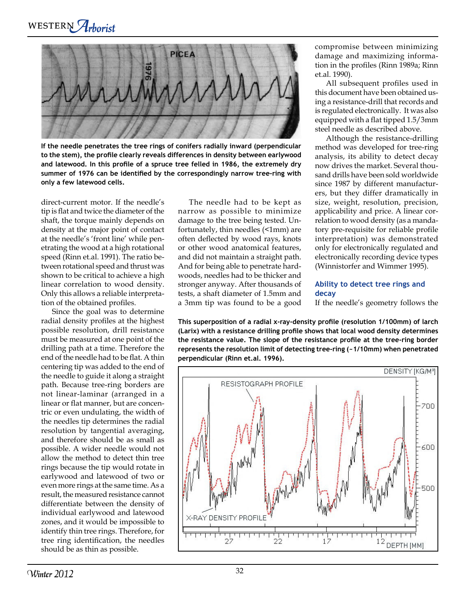WESTERN Arborist

**PICEA** 

**If the needle penetrates the tree rings of conifers radially inward (perpendicular to the stem), the profile clearly reveals differences in density between earlywood and latewood. In this profile of a spruce tree felled in 1986, the extremely dry summer of 1976 can be identified by the correspondingly narrow tree-ring with only a few latewood cells.** 

direct-current motor. If the needle's tip is flat and twice the diameter of the shaft, the torque mainly depends on density at the major point of contact at the needle's 'front line' while penetrating the wood at a high rotational speed (Rinn et.al. 1991). The ratio between rotational speed and thrust was shown to be critical to achieve a high linear correlation to wood density. Only this allows a reliable interpretation of the obtained profiles.

Since the goal was to determine radial density profiles at the highest possible resolution, drill resistance must be measured at one point of the drilling path at a time. Therefore the end of the needle had to be flat. A thin centering tip was added to the end of the needle to guide it along a straight path. Because tree-ring borders are not linear-laminar (arranged in a linear or flat manner, but are concentric or even undulating, the width of the needles tip determines the radial resolution by tangential averaging, and therefore should be as small as possible. A wider needle would not allow the method to detect thin tree rings because the tip would rotate in earlywood and latewood of two or even more rings at the same time. As a result, the measured resistance cannot differentiate between the density of individual earlywood and latewood zones, and it would be impossible to identify thin tree rings. Therefore, for tree ring identification, the needles should be as thin as possible.

The needle had to be kept as narrow as possible to minimize damage to the tree being tested. Unfortunately, thin needles (<1mm) are often deflected by wood rays, knots or other wood anatomical features, and did not maintain a straight path. And for being able to penetrate hardwoods, needles had to be thicker and stronger anyway. After thousands of tests, a shaft diameter of 1.5mm and a 3mm tip was found to be a good

compromise between minimizing damage and maximizing information in the profiles (Rinn 1989a; Rinn et.al. 1990).

All subsequent profiles used in this document have been obtained using a resistance-drill that records and is regulated electronically. It was also equipped with a flat tipped 1.5/3mm steel needle as described above.

Although the resistance-drilling method was developed for tree-ring analysis, its ability to detect decay now drives the market. Several thousand drills have been sold worldwide since 1987 by different manufacturers, but they differ dramatically in size, weight, resolution, precision, applicability and price. A linear correlation to wood density (as a mandatory pre-requisite for reliable profile interpretation) was demonstrated only for electronically regulated and electronically recording device types (Winnistorfer and Wimmer 1995).

## **Ability to detect tree rings and decay**

If the needle's geometry follows the

**This superposition of a radial x-ray-density profile (resolution 1/100mm) of larch (Larix) with a resistance drilling profile shows that local wood density determines the resistance value. The slope of the resistance profile at the tree-ring border represents the resolution limit of detecting tree-ring (~1/10mm) when penetrated perpendicular (Rinn et.al. 1996).** 

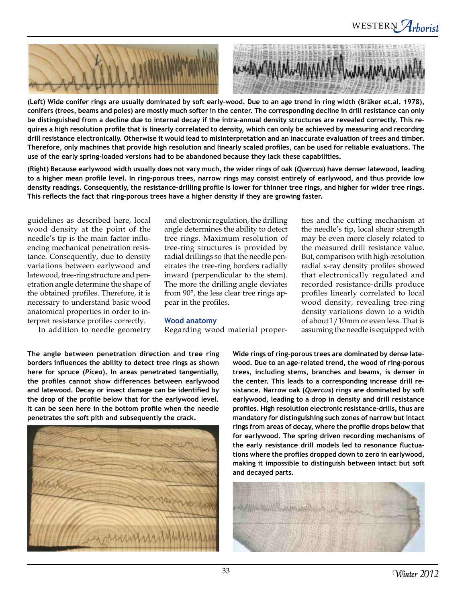



**(Left) Wide conifer rings are usually dominated by soft early-wood. Due to an age trend in ring width (Bräker et.al. 1978), conifers (trees, beams and poles) are mostly much softer in the center. The corresponding decline in drill resistance can only be distinguished from a decline due to internal decay if the intra-annual density structures are revealed correctly. This requires a high resolution profile that is linearly correlated to density, which can only be achieved by measuring and recording drill resistance electronically. Otherwise it would lead to misinterpretation and an inaccurate evaluation of trees and timber. Therefore, only machines that provide high resolution and linearly scaled profiles, can be used for reliable evaluations. The use of the early spring-loaded versions had to be abandoned because they lack these capabilities.** 

**(Right) Because earlywood width usually does not vary much, the wider rings of oak (***Quercus***) have denser latewood, leading to a higher mean profile level. In ring-porous trees, narrow rings may consist entirely of earlywood, and thus provide low density readings. Consequently, the resistance-drilling profile is lower for thinner tree rings, and higher for wider tree rings. This reflects the fact that ring-porous trees have a higher density if they are growing faster.**

guidelines as described here, local wood density at the point of the needle's tip is the main factor influencing mechanical penetration resistance. Consequently, due to density variations between earlywood and latewood, tree-ring structure and penetration angle determine the shape of the obtained profiles. Therefore, it is necessary to understand basic wood anatomical properties in order to interpret resistance profiles correctly.

In addition to needle geometry

and electronic regulation, the drilling angle determines the ability to detect tree rings. Maximum resolution of tree-ring structures is provided by radial drillings so that the needle penetrates the tree-ring borders radially inward (perpendicular to the stem). The more the drilling angle deviates from 90°, the less clear tree rings appear in the profiles.

### **Wood anatomy**

Regarding wood material proper-

ties and the cutting mechanism at the needle's tip, local shear strength may be even more closely related to the measured drill resistance value. But, comparison with high-resolution radial x-ray density profiles showed that electronically regulated and recorded resistance-drills produce profiles linearly correlated to local wood density, revealing tree-ring density variations down to a width of about 1/10mm or even less. That is assuming the needle is equipped with

**The angle between penetration direction and tree ring borders influences the ability to detect tree rings as shown here for spruce (***Picea***). In areas penetrated tangentially, the profiles cannot show differences between earlywood and latewood. Decay or insect damage can be identified by the drop of the profile below that for the earlywood level. It can be seen here in the bottom profile when the needle penetrates the soft pith and subsequently the crack.** 



**Wide rings of ring-porous trees are dominated by dense latewood. Due to an age-related trend, the wood of ring-porous trees, including stems, branches and beams, is denser in the center. This leads to a corresponding increase drill resistance. Narrow oak (***Quercus***) rings are dominated by soft earlywood, leading to a drop in density and drill resistance profiles. High resolution electronic resistance-drills, thus are mandatory for distinguishing such zones of narrow but intact rings from areas of decay, where the profile drops below that for earlywood. The spring driven recording mechanisms of the early resistance drill models led to resonance fluctuations where the profiles dropped down to zero in earlywood, making it impossible to distinguish between intact but soft and decayed parts.**

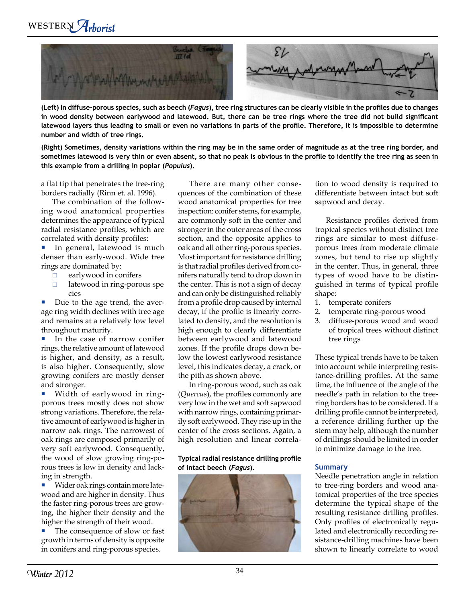

**(Left) In diffuse-porous species, such as beech (***Fagus***), tree ring structures can be clearly visible in the profiles due to changes in wood density between earlywood and latewood. But, there can be tree rings where the tree did not build significant latewood layers thus leading to small or even no variations in parts of the profile. Therefore, it is impossible to determine number and width of tree rings.**

**(Right) Sometimes, density variations within the ring may be in the same order of magnitude as at the tree ring border, and sometimes latewood is very thin or even absent, so that no peak is obvious in the profile to identify the tree ring as seen in this example from a drilling in poplar (***Populus***).**

a flat tip that penetrates the tree-ring borders radially (Rinn et. al. 1996).

The combination of the following wood anatomical properties determines the appearance of typical radial resistance profiles, which are correlated with density profiles:

In general, latewood is much denser than early-wood. Wide tree rings are dominated by: l.

- earlywood in conifers  $\Box$
- latewood in ring-porous spe cies  $\Box$

Due to the age trend, the average ring width declines with tree age and remains at a relatively low level throughout maturity. l.

In the case of narrow conifer rings, the relative amount of latewood is higher, and density, as a result, is also higher. Consequently, slow growing conifers are mostly denser and stronger. l.

Width of earlywood in ringporous trees mostly does not show strong variations. Therefore, the relative amount of earlywood is higher in narrow oak rings. The narrowest of oak rings are composed primarily of very soft earlywood. Consequently, the wood of slow growing ring-porous trees is low in density and lacking in strength. l.

Wider oak rings contain more latewood and are higher in density. Thus the faster ring-porous trees are growing, the higher their density and the higher the strength of their wood. l.

The consequence of slow or fast growth in terms of density is opposite in conifers and ring-porous species. l.

There are many other consequences of the combination of these wood anatomical properties for tree inspection: conifer stems, for example, are commonly soft in the center and stronger in the outer areas of the cross section, and the opposite applies to oak and all other ring-porous species. Most important for resistance drilling is that radial profiles derived from conifers naturally tend to drop down in the center. This is not a sign of decay and can only be distinguished reliably from a profile drop caused by internal decay, if the profile is linearly correlated to density, and the resolution is high enough to clearly differentiate between earlywood and latewood zones. If the profile drops down below the lowest earlywood resistance level, this indicates decay, a crack, or the pith as shown above.

In ring-porous wood, such as oak (*Quercus*), the profiles commonly are very low in the wet and soft sapwood with narrow rings, containing primarily soft earlywood. They rise up in the center of the cross sections. Again, a high resolution and linear correla-

### **Typical radial resistance drilling profile of intact beech (***Fagus***).**



tion to wood density is required to differentiate between intact but soft sapwood and decay.

Resistance profiles derived from tropical species without distinct tree rings are similar to most diffuseporous trees from moderate climate zones, but tend to rise up slightly in the center. Thus, in general, three types of wood have to be distinguished in terms of typical profile shape:

- 1. temperate conifers
- temperate ring-porous wood 2.
- diffuse-porous wood and wood of tropical trees without distinct tree rings 3.

These typical trends have to be taken into account while interpreting resistance-drilling profiles. At the same time, the influence of the angle of the needle's path in relation to the treering borders has to be considered. If a drilling profile cannot be interpreted, a reference drilling further up the stem may help, although the number of drillings should be limited in order to minimize damage to the tree.

## **Summary**

Needle penetration angle in relation to tree-ring borders and wood anatomical properties of the tree species determine the typical shape of the resulting resistance drilling profiles. Only profiles of electronically regulated and electronically recording resistance-drilling machines have been shown to linearly correlate to wood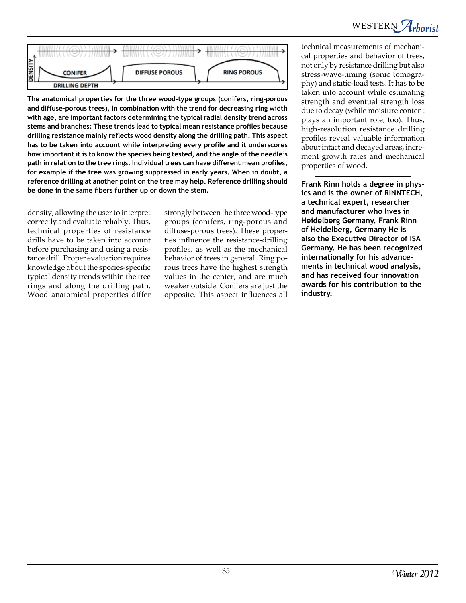WESTERN Arborist



**The anatomical properties for the three wood-type groups (conifers, ring-porous and diffuse-porous trees), in combination with the trend for decreasing ring width with age, are important factors determining the typical radial density trend across stems and branches: These trends lead to typical mean resistance profiles because drilling resistance mainly reflects wood density along the drilling path. This aspect has to be taken into account while interpreting every profile and it underscores how important it is to know the species being tested, and the angle of the needle's path in relation to the tree rings. Individual trees can have different mean profiles, for example if the tree was growing suppressed in early years. When in doubt, a reference drilling at another point on the tree may help. Reference drilling should be done in the same fibers further up or down the stem.** 

density, allowing the user to interpret correctly and evaluate reliably. Thus, technical properties of resistance drills have to be taken into account before purchasing and using a resistance drill. Proper evaluation requires knowledge about the species-specific typical density trends within the tree rings and along the drilling path. Wood anatomical properties differ

strongly between the three wood-type groups (conifers, ring-porous and diffuse-porous trees). These properties influence the resistance-drilling profiles, as well as the mechanical behavior of trees in general. Ring porous trees have the highest strength values in the center, and are much weaker outside. Conifers are just the opposite. This aspect influences all

technical measurements of mechanical properties and behavior of trees, not only by resistance drilling but also stress-wave-timing (sonic tomography) and static-load tests. It has to be taken into account while estimating strength and eventual strength loss due to decay (while moisture content plays an important role, too). Thus, high-resolution resistance drilling profiles reveal valuable information about intact and decayed areas, increment growth rates and mechanical properties of wood.

**Frank Rinn holds a degree in physics and is the owner of RINNTECH, a technical expert, researcher and manufacturer who lives in Heidelberg Germany. Frank Rinn of Heidelberg, Germany He is also the Executive Director of ISA Germany. He has been recognized internationally for his advancements in technical wood analysis, and has received four innovation awards for his contribution to the industry.**